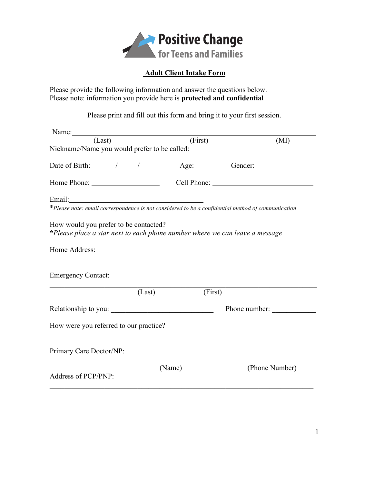

## **Adult Client Intake Form**

Please provide the following information and answer the questions below. Please note: information you provide here is **protected and confidential**

Please print and fill out this form and bring it to your first session.

| Name:                                                                                                                |         |         |                |
|----------------------------------------------------------------------------------------------------------------------|---------|---------|----------------|
| (Last)                                                                                                               | (First) |         | (MI)           |
| Nickname/Name you would prefer to be called: ___________________________________                                     |         |         |                |
| Date of Birth: $\angle$ / $\angle$ / $\angle$ Age: $\angle$ Gender: $\angle$                                         |         |         |                |
|                                                                                                                      |         |         |                |
|                                                                                                                      |         |         |                |
| *Please note: email correspondence is not considered to be a confidential method of communication                    |         |         |                |
| How would you prefer to be contacted?<br>*Please place a star next to each phone number where we can leave a message |         |         |                |
| Home Address:                                                                                                        |         |         |                |
| <b>Emergency Contact:</b>                                                                                            |         |         |                |
|                                                                                                                      | (Last)  | (First) |                |
| Relationship to you:                                                                                                 |         |         | Phone number:  |
|                                                                                                                      |         |         |                |
| Primary Care Doctor/NP:                                                                                              |         |         |                |
|                                                                                                                      | (Name)  |         | (Phone Number) |
| Address of PCP/PNP:                                                                                                  |         |         |                |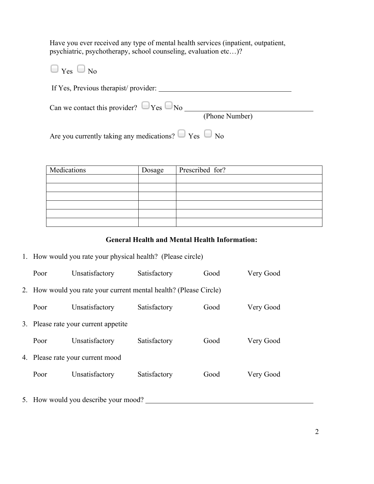Have you ever received any type of mental health services (inpatient, outpatient, psychiatric, psychotherapy, school counseling, evaluation etc…)?

 $\Box$  Yes  $\Box$  No If Yes, Previous therapist/ provider: Can we contact this provider?  $\Box$  Yes  $\Box$  No (Phone Number) Are you currently taking any medications?  $\Box$  Yes  $\Box$  No

| Medications | Dosage | Prescribed for? |
|-------------|--------|-----------------|
|             |        |                 |
|             |        |                 |
|             |        |                 |
|             |        |                 |
|             |        |                 |
|             |        |                 |

#### **General Health and Mental Health Information:**

1. How would you rate your physical health? (Please circle)

| Poor                                                              | Unsatisfactory | Satisfactory | Good | Very Good |
|-------------------------------------------------------------------|----------------|--------------|------|-----------|
| 2. How would you rate your current mental health? (Please Circle) |                |              |      |           |
| Poor                                                              | Unsatisfactory | Satisfactory | Good | Very Good |
| 3. Please rate your current appetite                              |                |              |      |           |
| Poor                                                              | Unsatisfactory | Satisfactory | Good | Very Good |
| 4. Please rate your current mood                                  |                |              |      |           |
| Poor                                                              | Unsatisfactory | Satisfactory | Good | Very Good |
|                                                                   |                |              |      |           |

5. How would you describe your mood?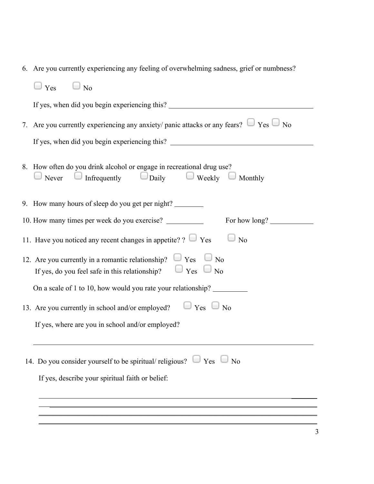|  |  |  |  | 6. Are you currently experiencing any feeling of overwhelming sadness, grief or numbness? |  |
|--|--|--|--|-------------------------------------------------------------------------------------------|--|
|--|--|--|--|-------------------------------------------------------------------------------------------|--|

| $\Box$ No<br>Yes                                                                                                                                                                        |  |  |  |  |
|-----------------------------------------------------------------------------------------------------------------------------------------------------------------------------------------|--|--|--|--|
| If yes, when did you begin experiencing this?                                                                                                                                           |  |  |  |  |
| 7. Are you currently experiencing any anxiety/ panic attacks or any fears? $\Box$ Yes $\Box$ No                                                                                         |  |  |  |  |
| If yes, when did you begin experiencing this?                                                                                                                                           |  |  |  |  |
| 8. How often do you drink alcohol or engage in recreational drug use?<br>Never $\Box$ Infrequently $\Box$ Daily<br>$\Box$ Weekly $\Box$ Monthly                                         |  |  |  |  |
| 9. How many hours of sleep do you get per night?                                                                                                                                        |  |  |  |  |
| 10. How many times per week do you exercise?<br>For how long?                                                                                                                           |  |  |  |  |
| 11. Have you noticed any recent changes in appetite? ? $\Box$ Yes<br>$\Box$ No                                                                                                          |  |  |  |  |
| 12. Are you currently in a romantic relationship? $\Box$ Yes<br>N <sub>o</sub><br>$\overline{\phantom{a}}$<br>$\Box$ Yes<br>If yes, do you feel safe in this relationship?<br>$\Box$ No |  |  |  |  |
| On a scale of 1 to 10, how would you rate your relationship?                                                                                                                            |  |  |  |  |
| $\Box$ Yes $\Box$ No<br>13. Are you currently in school and/or employed?                                                                                                                |  |  |  |  |
| If yes, where are you in school and/or employed?                                                                                                                                        |  |  |  |  |
|                                                                                                                                                                                         |  |  |  |  |
| 14. Do you consider yourself to be spiritual/religious? $\Box$ Yes $\Box$ No                                                                                                            |  |  |  |  |
| If yes, describe your spiritual faith or belief:                                                                                                                                        |  |  |  |  |
|                                                                                                                                                                                         |  |  |  |  |
|                                                                                                                                                                                         |  |  |  |  |
|                                                                                                                                                                                         |  |  |  |  |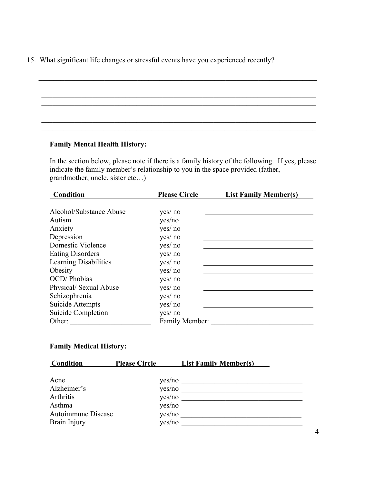15. What significant life changes or stressful events have you experienced recently?

# $\mathcal{L}_\mathcal{L} = \{ \mathcal{L}_\mathcal{L} = \{ \mathcal{L}_\mathcal{L} = \{ \mathcal{L}_\mathcal{L} = \{ \mathcal{L}_\mathcal{L} = \{ \mathcal{L}_\mathcal{L} = \{ \mathcal{L}_\mathcal{L} = \{ \mathcal{L}_\mathcal{L} = \{ \mathcal{L}_\mathcal{L} = \{ \mathcal{L}_\mathcal{L} = \{ \mathcal{L}_\mathcal{L} = \{ \mathcal{L}_\mathcal{L} = \{ \mathcal{L}_\mathcal{L} = \{ \mathcal{L}_\mathcal{L} = \{ \mathcal{L}_\mathcal{$  $\mathcal{L}_\text{max}$  , and the set of the set of the set of the set of the set of the set of the set of the set of the set of the set of the set of the set of the set of the set of the set of the set of the set of the set of the  $\mathcal{L}_\text{max} = \frac{1}{2} \sum_{i=1}^n \mathcal{L}_\text{max}(\mathbf{z}_i - \mathbf{z}_i)$  $\mathcal{L}_\mathcal{L} = \{ \mathcal{L}_\mathcal{L} = \{ \mathcal{L}_\mathcal{L} = \{ \mathcal{L}_\mathcal{L} = \{ \mathcal{L}_\mathcal{L} = \{ \mathcal{L}_\mathcal{L} = \{ \mathcal{L}_\mathcal{L} = \{ \mathcal{L}_\mathcal{L} = \{ \mathcal{L}_\mathcal{L} = \{ \mathcal{L}_\mathcal{L} = \{ \mathcal{L}_\mathcal{L} = \{ \mathcal{L}_\mathcal{L} = \{ \mathcal{L}_\mathcal{L} = \{ \mathcal{L}_\mathcal{L} = \{ \mathcal{L}_\mathcal{$  $\mathcal{L}_\mathcal{L} = \{ \mathcal{L}_\mathcal{L} = \{ \mathcal{L}_\mathcal{L} = \{ \mathcal{L}_\mathcal{L} = \{ \mathcal{L}_\mathcal{L} = \{ \mathcal{L}_\mathcal{L} = \{ \mathcal{L}_\mathcal{L} = \{ \mathcal{L}_\mathcal{L} = \{ \mathcal{L}_\mathcal{L} = \{ \mathcal{L}_\mathcal{L} = \{ \mathcal{L}_\mathcal{L} = \{ \mathcal{L}_\mathcal{L} = \{ \mathcal{L}_\mathcal{L} = \{ \mathcal{L}_\mathcal{L} = \{ \mathcal{L}_\mathcal{$  $\mathcal{L}_\mathcal{L} = \{ \mathcal{L}_\mathcal{L} = \{ \mathcal{L}_\mathcal{L} = \{ \mathcal{L}_\mathcal{L} = \{ \mathcal{L}_\mathcal{L} = \{ \mathcal{L}_\mathcal{L} = \{ \mathcal{L}_\mathcal{L} = \{ \mathcal{L}_\mathcal{L} = \{ \mathcal{L}_\mathcal{L} = \{ \mathcal{L}_\mathcal{L} = \{ \mathcal{L}_\mathcal{L} = \{ \mathcal{L}_\mathcal{L} = \{ \mathcal{L}_\mathcal{L} = \{ \mathcal{L}_\mathcal{L} = \{ \mathcal{L}_\mathcal{$

#### **Family Mental Health History:**

In the section below, please note if there is a family history of the following. If yes, please indicate the family member's relationship to you in the space provided (father, grandmother, uncle, sister etc…)

| Condition               | <b>Please Circle</b> | <b>List Family Member(s)</b> |
|-------------------------|----------------------|------------------------------|
|                         |                      |                              |
| Alcohol/Substance Abuse | yes/ no              |                              |
| Autism                  | yes/no               |                              |
| Anxiety                 | yes/ no              |                              |
| Depression              | yes/ no              |                              |
| Domestic Violence       | yes/ no              |                              |
| <b>Eating Disorders</b> | yes/ no              |                              |
| Learning Disabilities   | yes/ no              |                              |
| Obesity                 | yes/ no              |                              |
| <b>OCD</b> / Phobias    | yes/ no              |                              |
| Physical/ Sexual Abuse  | yes/ no              |                              |
| Schizophrenia           | yes/ no              |                              |
| Suicide Attempts        | yes/ no              |                              |
| Suicide Completion      | yes/ no              |                              |
| Other:                  | Family Member:       |                              |

### **Family Medical History:**

| <b>Condition</b>                                                                 | <b>Please Circle</b>                                     | <b>List Family Member(s)</b> |
|----------------------------------------------------------------------------------|----------------------------------------------------------|------------------------------|
| Acne<br>Alzheimer's<br>Arthritis<br>Asthma<br>Autoimmune Disease<br>Brain Injury | yes/no<br>yes/no<br>yes/no<br>yes/no<br>yes/no<br>yes/no |                              |
|                                                                                  |                                                          |                              |